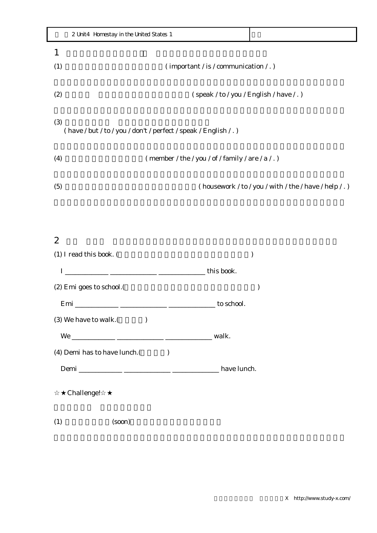|                                                                         | 2 Unit4 Homestay in the United States 1                |  |
|-------------------------------------------------------------------------|--------------------------------------------------------|--|
| 1                                                                       |                                                        |  |
| (1)                                                                     | $\frac{1}{2}$ (important / is / communication / . )    |  |
|                                                                         |                                                        |  |
| (2)                                                                     | (speak / to / you / English / have / . )               |  |
| (3)<br>(have / but / to / you / don't / perfect / speak / English / . ) |                                                        |  |
| (4)                                                                     | (member / the / you / of / family / are / a / . )      |  |
| (5)                                                                     | (housework / to / you / with / the / have / help / . ) |  |

## $2$

| (1) I read this book. (     |  |  |
|-----------------------------|--|--|
|                             |  |  |
| (2) Emi goes to school.     |  |  |
|                             |  |  |
| (3) We have to walk.        |  |  |
|                             |  |  |
| (4) Demi has to have lunch. |  |  |
|                             |  |  |
| Challenge!                  |  |  |
| (1)<br>(soon)               |  |  |

X http://www.study-x.com/